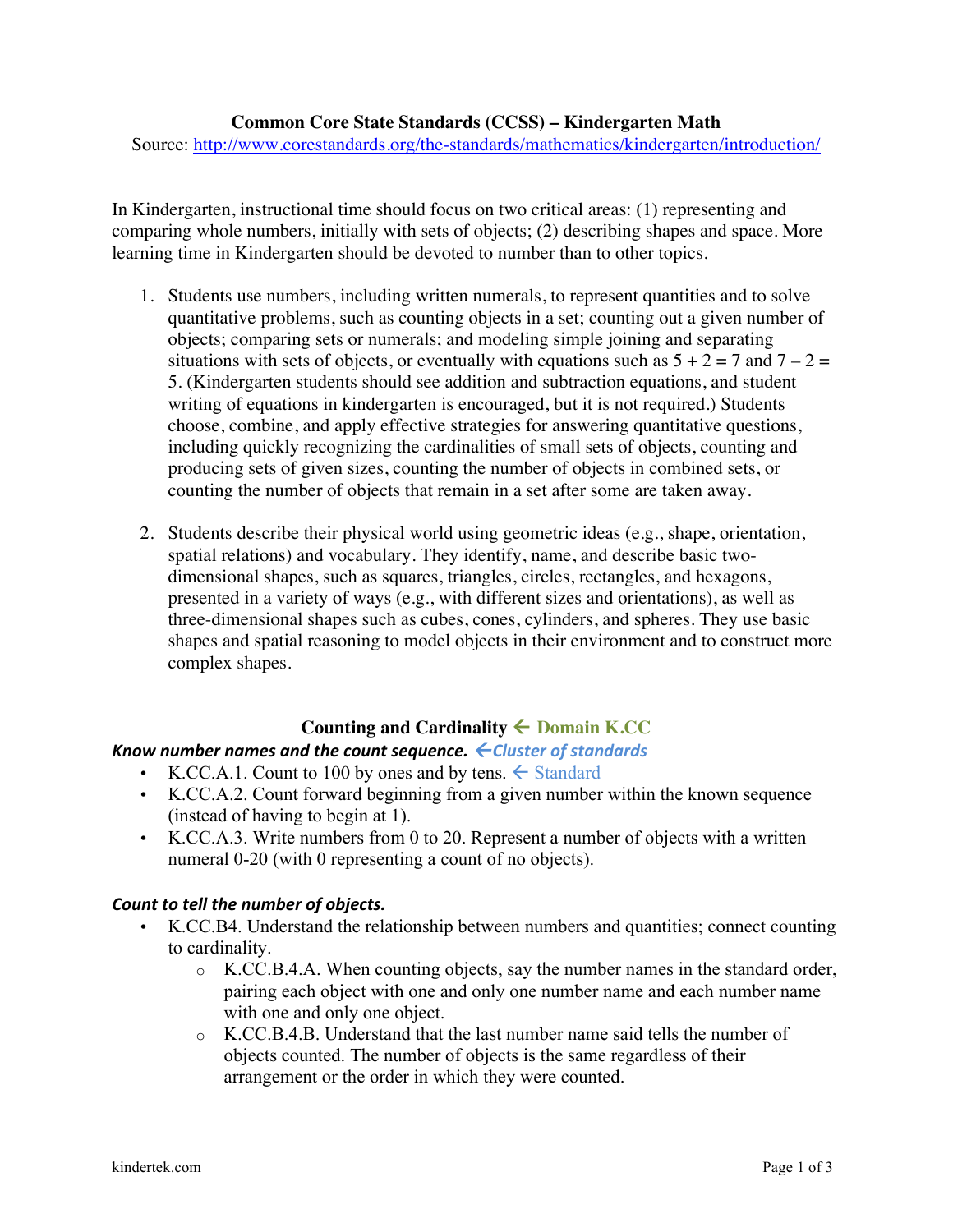#### **Common Core State Standards (CCSS) – Kindergarten Math**

Source: http://www.corestandards.org/the-standards/mathematics/kindergarten/introduction/

In Kindergarten, instructional time should focus on two critical areas: (1) representing and comparing whole numbers, initially with sets of objects; (2) describing shapes and space. More learning time in Kindergarten should be devoted to number than to other topics.

- 1. Students use numbers, including written numerals, to represent quantities and to solve quantitative problems, such as counting objects in a set; counting out a given number of objects; comparing sets or numerals; and modeling simple joining and separating situations with sets of objects, or eventually with equations such as  $5 + 2 = 7$  and  $7 - 2 = 7$ 5. (Kindergarten students should see addition and subtraction equations, and student writing of equations in kindergarten is encouraged, but it is not required.) Students choose, combine, and apply effective strategies for answering quantitative questions, including quickly recognizing the cardinalities of small sets of objects, counting and producing sets of given sizes, counting the number of objects in combined sets, or counting the number of objects that remain in a set after some are taken away.
- 2. Students describe their physical world using geometric ideas (e.g., shape, orientation, spatial relations) and vocabulary. They identify, name, and describe basic twodimensional shapes, such as squares, triangles, circles, rectangles, and hexagons, presented in a variety of ways (e.g., with different sizes and orientations), as well as three-dimensional shapes such as cubes, cones, cylinders, and spheres. They use basic shapes and spatial reasoning to model objects in their environment and to construct more complex shapes.

## Counting and Cardinality  $\leftarrow$  Domain K.CC

### *Know number names and the count sequence. ← Cluster of standards*

- K.CC.A.1. Count to 100 by ones and by tens.  $\leftarrow$  Standard
- K.CC.A.2. Count forward beginning from a given number within the known sequence (instead of having to begin at 1).
- K.CC.A.3. Write numbers from 0 to 20. Represent a number of objects with a written numeral 0-20 (with 0 representing a count of no objects).

### **Count to tell the number of objects.**

- K.CC.B4. Understand the relationship between numbers and quantities; connect counting to cardinality.
	- o K.CC.B.4.A. When counting objects, say the number names in the standard order, pairing each object with one and only one number name and each number name with one and only one object.
	- o K.CC.B.4.B. Understand that the last number name said tells the number of objects counted. The number of objects is the same regardless of their arrangement or the order in which they were counted.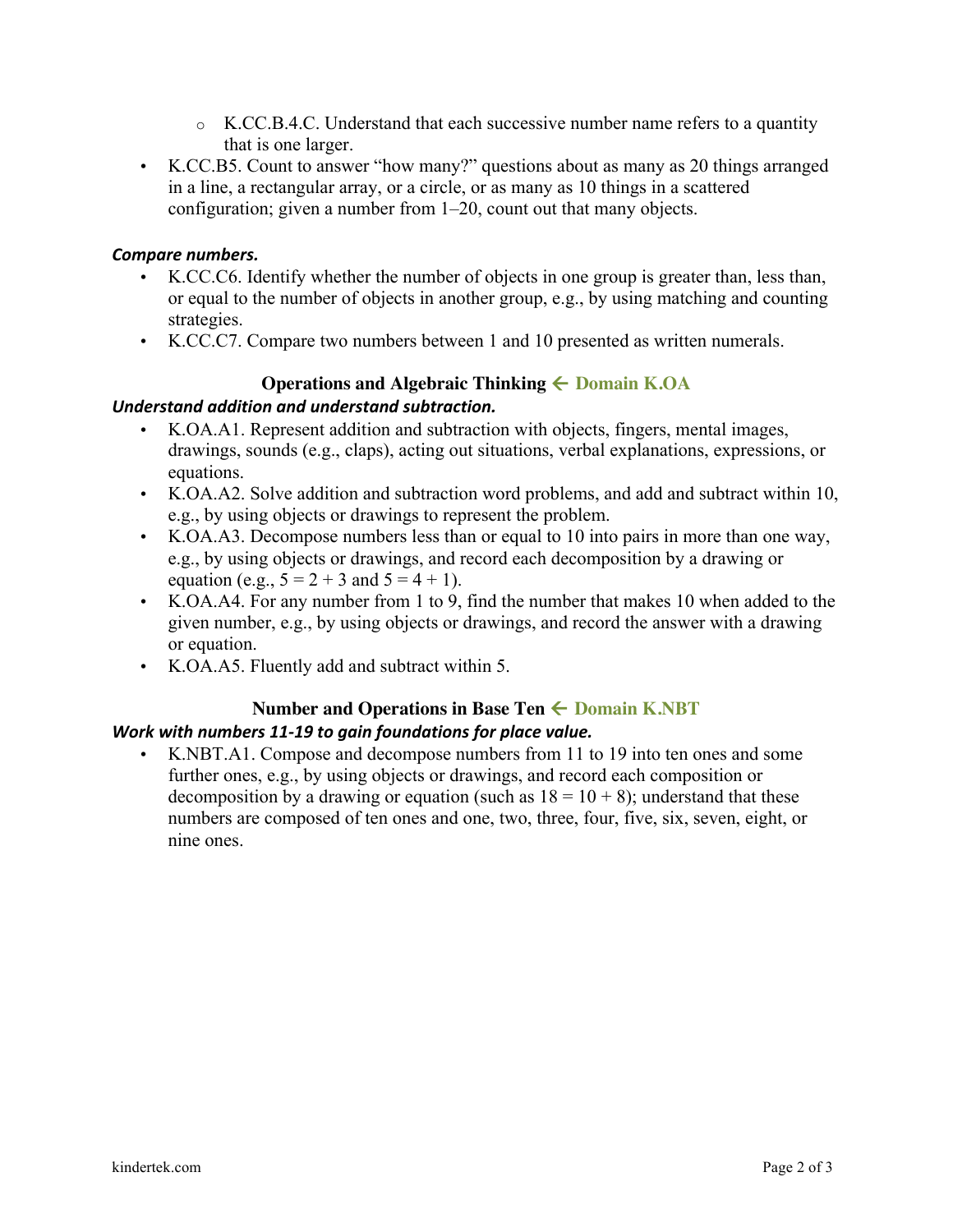- $\circ$  K.CC.B.4.C. Understand that each successive number name refers to a quantity that is one larger.
- K.CC.B5. Count to answer "how many?" questions about as many as 20 things arranged in a line, a rectangular array, or a circle, or as many as 10 things in a scattered configuration; given a number from 1–20, count out that many objects.

## Compare numbers.

- K.CC.C6. Identify whether the number of objects in one group is greater than, less than, or equal to the number of objects in another group, e.g., by using matching and counting strategies.
- K.CC.C7. Compare two numbers between 1 and 10 presented as written numerals.

# **Operations and Algebraic Thinking**  $\leftarrow$  **Domain K.OA**

## *Understand addition and understand subtraction.*

- K.OA.A1. Represent addition and subtraction with objects, fingers, mental images, drawings, sounds (e.g., claps), acting out situations, verbal explanations, expressions, or equations.
- K.OA.A2. Solve addition and subtraction word problems, and add and subtract within 10, e.g., by using objects or drawings to represent the problem.
- K.OA.A3. Decompose numbers less than or equal to 10 into pairs in more than one way, e.g., by using objects or drawings, and record each decomposition by a drawing or equation (e.g.,  $5 = 2 + 3$  and  $5 = 4 + 1$ ).
- K.OA.A4. For any number from 1 to 9, find the number that makes 10 when added to the given number, e.g., by using objects or drawings, and record the answer with a drawing or equation.
- K.OA.A5. Fluently add and subtract within 5.

### **Number and Operations in Base Ten**  $\leftarrow$  **Domain K.NBT** *Work* with numbers 11-19 to gain foundations for place value.

• K.NBT.A1. Compose and decompose numbers from 11 to 19 into ten ones and some further ones, e.g., by using objects or drawings, and record each composition or decomposition by a drawing or equation (such as  $18 = 10 + 8$ ); understand that these numbers are composed of ten ones and one, two, three, four, five, six, seven, eight, or nine ones.